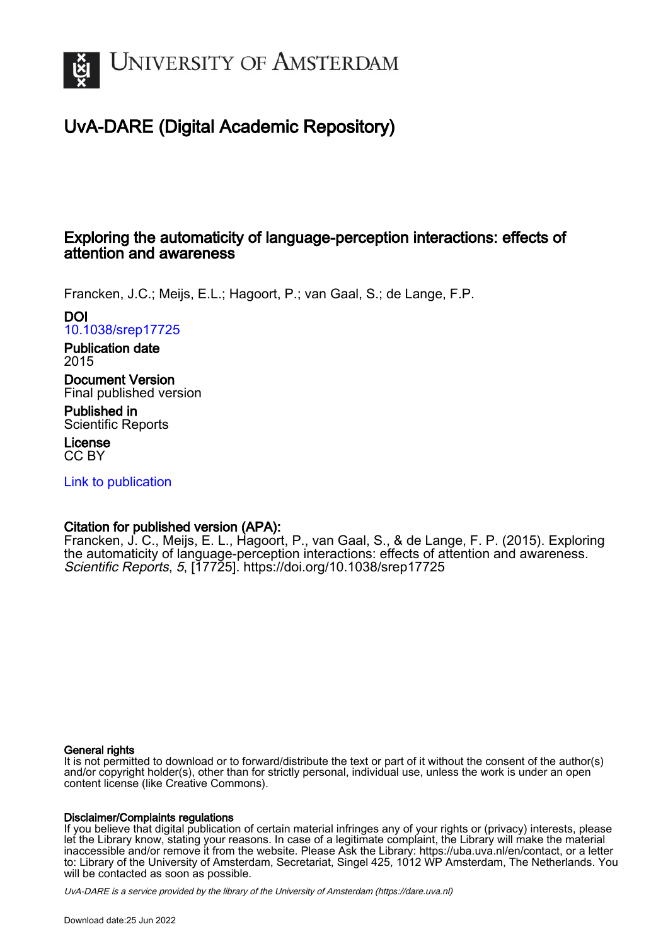

### UvA-DARE (Digital Academic Repository)

### Exploring the automaticity of language-perception interactions: effects of attention and awareness

Francken, J.C.; Meijs, E.L.; Hagoort, P.; van Gaal, S.; de Lange, F.P.

DOI [10.1038/srep17725](https://doi.org/10.1038/srep17725)

Publication date 2015

Document Version Final published version

Published in Scientific Reports

License CC BY

[Link to publication](https://dare.uva.nl/personal/pure/en/publications/exploring-the-automaticity-of-languageperception-interactions-effects-of-attention-and-awareness(17829f91-5afd-4a20-84ab-72e55f73268a).html)

### Citation for published version (APA):

Francken, J. C., Meijs, E. L., Hagoort, P., van Gaal, S., & de Lange, F. P. (2015). Exploring the automaticity of language-perception interactions: effects of attention and awareness. Scientific Reports, 5, [17725]. <https://doi.org/10.1038/srep17725>

### General rights

It is not permitted to download or to forward/distribute the text or part of it without the consent of the author(s) and/or copyright holder(s), other than for strictly personal, individual use, unless the work is under an open content license (like Creative Commons).

### Disclaimer/Complaints regulations

If you believe that digital publication of certain material infringes any of your rights or (privacy) interests, please let the Library know, stating your reasons. In case of a legitimate complaint, the Library will make the material inaccessible and/or remove it from the website. Please Ask the Library: https://uba.uva.nl/en/contact, or a letter to: Library of the University of Amsterdam, Secretariat, Singel 425, 1012 WP Amsterdam, The Netherlands. You will be contacted as soon as possible.

UvA-DARE is a service provided by the library of the University of Amsterdam (http*s*://dare.uva.nl)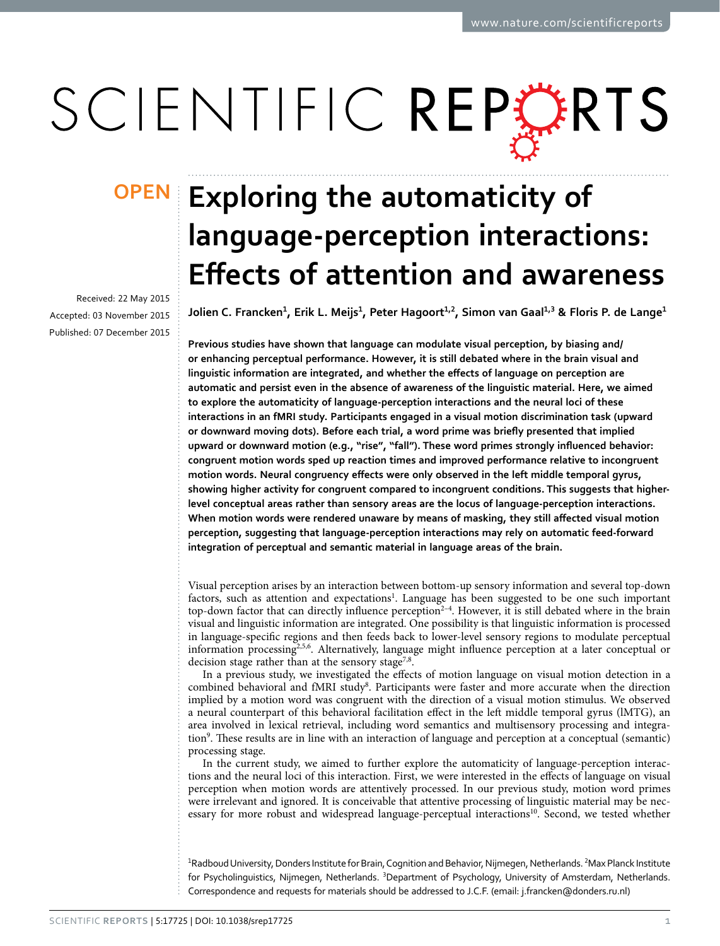# SCIENTIFIC REPERTS

Received: 22 May 2015 accepted: 03 November 2015 Published: 07 December 2015

## **OPEN** Exploring the automaticity of **language-perception interactions: Effects of attention and awareness**

Jolien C. Francken<sup>1</sup>, Erik L. Meijs<sup>1</sup>, Peter Hagoort<sup>1,2</sup>, Simon van Gaal<sup>1,3</sup> & Floris P. de Lange<sup>1</sup>

**Previous studies have shown that language can modulate visual perception, by biasing and/ or enhancing perceptual performance. However, it is still debated where in the brain visual and linguistic information are integrated, and whether the effects of language on perception are automatic and persist even in the absence of awareness of the linguistic material. Here, we aimed to explore the automaticity of language-perception interactions and the neural loci of these interactions in an fMRI study. Participants engaged in a visual motion discrimination task (upward or downward moving dots). Before each trial, a word prime was briefly presented that implied upward or downward motion (e.g., "rise", "fall"). These word primes strongly influenced behavior: congruent motion words sped up reaction times and improved performance relative to incongruent motion words. Neural congruency effects were only observed in the left middle temporal gyrus, showing higher activity for congruent compared to incongruent conditions. This suggests that higherlevel conceptual areas rather than sensory areas are the locus of language-perception interactions. When motion words were rendered unaware by means of masking, they still affected visual motion perception, suggesting that language-perception interactions may rely on automatic feed-forward integration of perceptual and semantic material in language areas of the brain.**

Visual perception arises by an interaction between bottom-up sensory information and several top-down factors, such as attention and expectations<sup>[1](#page-8-0)</sup>. Language has been suggested to be one such important top-down factor that can directly influence perception<sup>2-4</sup>. However, it is still debated where in the brain visual and linguistic information are integrated. One possibility is that linguistic information is processed in language-specific regions and then feeds back to lower-level sensory regions to modulate perceptual information processin[g2](#page-8-1),[5,](#page-8-2)[6](#page-8-3). Alternatively, language might influence perception at a later conceptual or decision stage rather than at the sensory stage<sup>7,[8](#page-8-5)</sup>.

In a previous study, we investigated the effects of motion language on visual motion detection in a combined behavioral and fMRI study<sup>8</sup>. Participants were faster and more accurate when the direction implied by a motion word was congruent with the direction of a visual motion stimulus. We observed a neural counterpart of this behavioral facilitation effect in the left middle temporal gyrus (lMTG), an area involved in lexical retrieval, including word semantics and multisensory processing and integration<sup>9</sup>. These results are in line with an interaction of language and perception at a conceptual (semantic) processing stage.

In the current study, we aimed to further explore the automaticity of language-perception interactions and the neural loci of this interaction. First, we were interested in the effects of language on visual perception when motion words are attentively processed. In our previous study, motion word primes were irrelevant and ignored. It is conceivable that attentive processing of linguistic material may be nec-essary for more robust and widespread language-perceptual interactions<sup>[10](#page-8-7)</sup>. Second, we tested whether

<sup>1</sup>Radboud University, Donders Institute for Brain, Cognition and Behavior, Nijmegen, Netherlands. <sup>2</sup>Max Planck Institute for Psycholinguistics, Nijmegen, Netherlands. <sup>3</sup>Department of Psychology, University of Amsterdam, Netherlands. Correspondence and requests for materials should be addressed to J.C.F. (email: [j.francken@donders.ru.nl\)](mailto:j.francken@donders.ru.nl)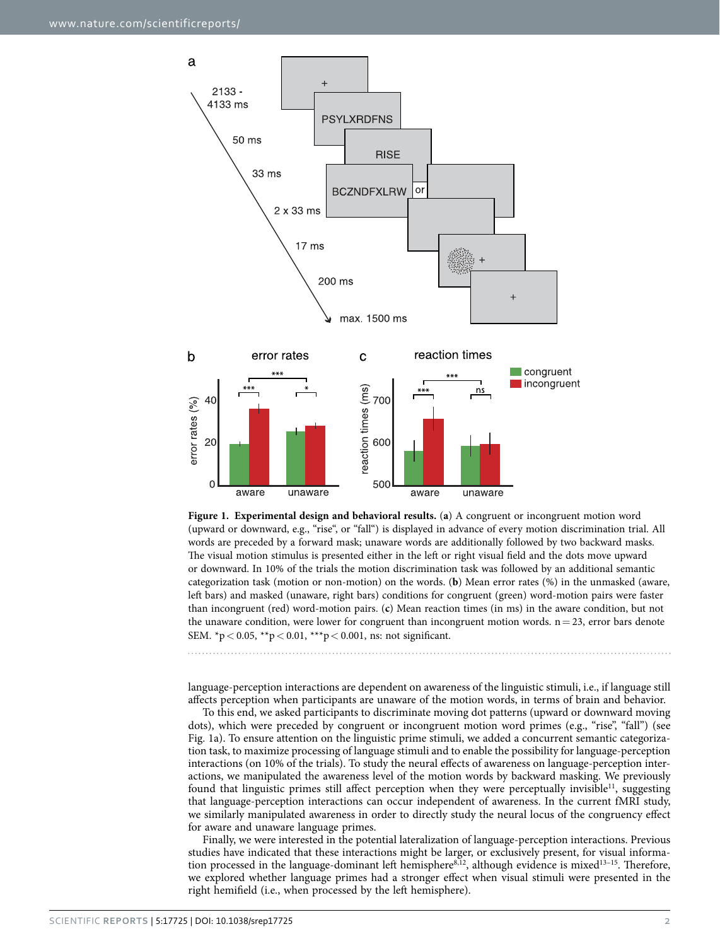

<span id="page-2-0"></span>**Figure 1. Experimental design and behavioral results.** (**a**) A congruent or incongruent motion word (upward or downward, e.g., "rise", or "fall") is displayed in advance of every motion discrimination trial. All words are preceded by a forward mask; unaware words are additionally followed by two backward masks. The visual motion stimulus is presented either in the left or right visual field and the dots move upward or downward. In 10% of the trials the motion discrimination task was followed by an additional semantic categorization task (motion or non-motion) on the words. (**b**) Mean error rates (%) in the unmasked (aware, left bars) and masked (unaware, right bars) conditions for congruent (green) word-motion pairs were faster than incongruent (red) word-motion pairs. (**c**) Mean reaction times (in ms) in the aware condition, but not the unaware condition, were lower for congruent than incongruent motion words.  $n=23$ , error bars denote SEM.  ${}^{\ast}p$  < 0.05,  ${}^{\ast}{}^{\ast}p$  < 0.01,  ${}^{\ast}{}^{\ast}{}^{\ast}p$  < 0.001, ns: not significant.

language-perception interactions are dependent on awareness of the linguistic stimuli, i.e., if language still affects perception when participants are unaware of the motion words, in terms of brain and behavior.

To this end, we asked participants to discriminate moving dot patterns (upward or downward moving dots), which were preceded by congruent or incongruent motion word primes (e.g., "rise", "fall") (see [Fig. 1a](#page-2-0)). To ensure attention on the linguistic prime stimuli, we added a concurrent semantic categorization task, to maximize processing of language stimuli and to enable the possibility for language-perception interactions (on 10% of the trials). To study the neural effects of awareness on language-perception interactions, we manipulated the awareness level of the motion words by backward masking. We previously found that linguistic primes still affect perception when they were perceptually invisible<sup>11</sup>, suggesting that language-perception interactions can occur independent of awareness. In the current fMRI study, we similarly manipulated awareness in order to directly study the neural locus of the congruency effect for aware and unaware language primes.

Finally, we were interested in the potential lateralization of language-perception interactions. Previous studies have indicated that these interactions might be larger, or exclusively present, for visual information processed in the language-dominant left hemisphere $8,12$ , although evidence is mixed $13-15$ . Therefore, we explored whether language primes had a stronger effect when visual stimuli were presented in the right hemifield (i.e., when processed by the left hemisphere).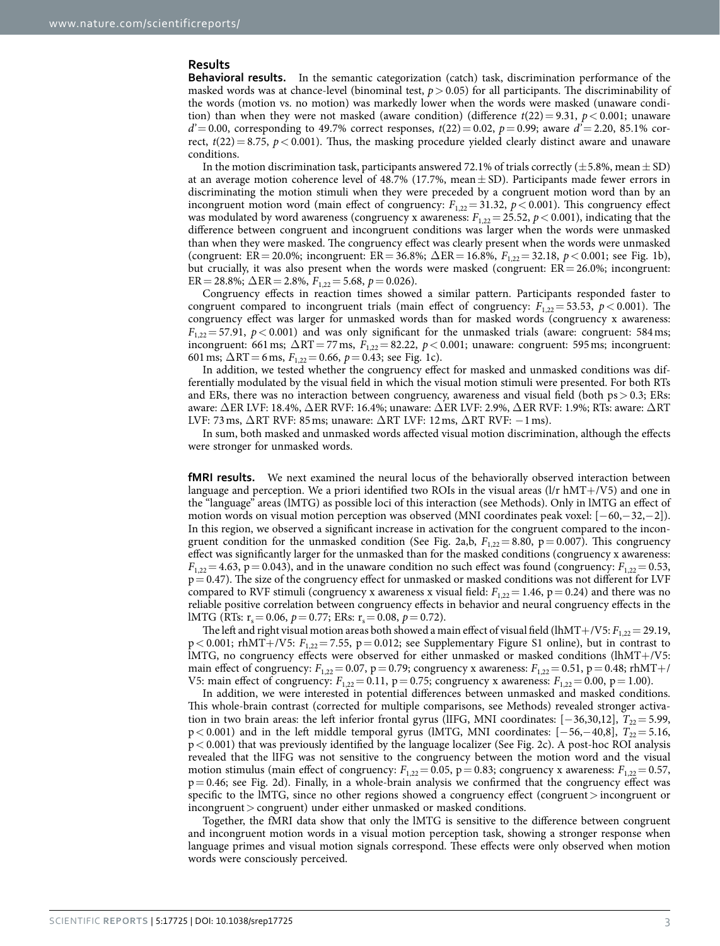### **Results**

**Behavioral results.** In the semantic categorization (catch) task, discrimination performance of the masked words was at chance-level (binominal test,  $p > 0.05$ ) for all participants. The discriminability of the words (motion vs. no motion) was markedly lower when the words were masked (unaware condition) than when they were not masked (aware condition) (difference  $t(22)=9.31$ ,  $p<0.001$ ; unaware  $d' = 0.00$ , corresponding to 49.7% correct responses,  $t(22) = 0.02$ ,  $p = 0.99$ ; aware  $d' = 2.20$ , 85.1% correct,  $t(22) = 8.75$ ,  $p < 0.001$ ). Thus, the masking procedure yielded clearly distinct aware and unaware conditions.

In the motion discrimination task, participants answered 72.1% of trials correctly ( $\pm$ 5.8%, mean $\pm$  SD) at an average motion coherence level of 48.7% (17.7%, mean  $\pm$  SD). Participants made fewer errors in discriminating the motion stimuli when they were preceded by a congruent motion word than by an incongruent motion word (main effect of congruency:  $F_{1,22} = 31.32$ ,  $p < 0.001$ ). This congruency effect was modulated by word awareness (congruency x awareness:  $F_{1,22} = 25.52$ ,  $p < 0.001$ ), indicating that the difference between congruent and incongruent conditions was larger when the words were unmasked than when they were masked. The congruency effect was clearly present when the words were unmasked (congruent: ER= 20.0%; incongruent: ER= 36.8%; ΔER= 16.8%, *F*1,22= 32.18, *p*< 0.001; see [Fig. 1b](#page-2-0)), but crucially, it was also present when the words were masked (congruent:  $ER = 26.0\%$ ; incongruent: ER = 28.8%;  $\Delta$ ER = 2.8%,  $F_{1,22}$  = 5.68,  $p$  = 0.026).

Congruency effects in reaction times showed a similar pattern. Participants responded faster to congruent compared to incongruent trials (main effect of congruency:  $F_{1,22} = 53.53$ ,  $p < 0.001$ ). The congruency effect was larger for unmasked words than for masked words (congruency x awareness:  $F_{1,22}$ = 57.91,  $p$  < 0.001) and was only significant for the unmasked trials (aware: congruent: 584ms; incongruent: 661 ms;  $\Delta RT = 77$  ms,  $F_{1,22} = 82.22$ ,  $p < 0.001$ ; unaware: congruent: 595 ms; incongruent: 601 ms;  $\Delta RT = 6$  ms,  $F_{1,22} = 0.66$ ,  $p = 0.43$ ; see [Fig. 1c](#page-2-0)).

In addition, we tested whether the congruency effect for masked and unmasked conditions was differentially modulated by the visual field in which the visual motion stimuli were presented. For both RTs and ERs, there was no interaction between congruency, awareness and visual field (both  $ps > 0.3$ ; ERs: aware: ΔER LVF: 18.4%, ΔER RVF: 16.4%; unaware: ΔER LVF: 2.9%, ΔER RVF: 1.9%; RTs: aware: ΔRT LVF: 73 ms,  $\Delta$ RT RVF: 85 ms; unaware:  $\Delta$ RT LVF: 12 ms,  $\Delta$ RT RVF:  $-1$  ms).

In sum, both masked and unmasked words affected visual motion discrimination, although the effects were stronger for unmasked words.

**fMRI results.** We next examined the neural locus of the behaviorally observed interaction between language and perception. We a priori identified two ROIs in the visual areas  $(1/r hMT+/V5)$  and one in the "language" areas (lMTG) as possible loci of this interaction (see Methods). Only in lMTG an effect of motion words on visual motion perception was observed (MNI coordinates peak voxel: [−60,−32,−2]). In this region, we observed a significant increase in activation for the congruent compared to the incongruent condition for the unmasked condition (See Fig. 2a,b,  $F_{1,22} = 8.80$ ,  $p = 0.007$ ). This congruency effect was significantly larger for the unmasked than for the masked conditions (congruency x awareness:  $F_{1,22} = 4.63$ , p = 0.043), and in the unaware condition no such effect was found (congruency:  $F_{1,22} = 0.53$ ,  $p= 0.47$ ). The size of the congruency effect for unmasked or masked conditions was not different for LVF compared to RVF stimuli (congruency x awareness x visual field:  $F_{1,22} = 1.46$ ,  $p = 0.24$ ) and there was no reliable positive correlation between congruency effects in behavior and neural congruency effects in the lMTG (RTs:  $r_s = 0.06$ ,  $p = 0.77$ ; ERs:  $r_s = 0.08$ ,  $p = 0.72$ ).

The left and right visual motion areas both showed a main effect of visual field (lhMT+/V5:  $F_{1,22} = 29.19$ ,  $p < 0.001$ ; rhMT+/V5:  $F_{1,22} = 7.55$ ,  $p = 0.012$ ; see Supplementary Figure S1 online), but in contrast to lMTG, no congruency effects were observed for either unmasked or masked conditions (lhMT+/V5: main effect of congruency:  $F_{1,22} = 0.07$ , p= 0.79; congruency x awareness:  $F_{1,22} = 0.51$ , p= 0.48; rhMT+/ V5: main effect of congruency:  $F_{1,22} = 0.11$ ,  $p = 0.75$ ; congruency x awareness:  $F_{1,22} = 0.00$ ,  $p = 1.00$ ).

In addition, we were interested in potential differences between unmasked and masked conditions. This whole-brain contrast (corrected for multiple comparisons, see Methods) revealed stronger activation in two brain areas: the left inferior frontal gyrus (lIFG, MNI coordinates: [−36,30,12], *T*<sub>22</sub> = 5.99, p < 0.001) and in the left middle temporal gyrus (lMTG, MNI coordinates: [−56,−40,8],  $T_{22} = 5.16$ , p< 0.001) that was previously identified by the language localizer (See [Fig. 2c](#page-4-0)). A post-hoc ROI analysis revealed that the lIFG was not sensitive to the congruency between the motion word and the visual motion stimulus (main effect of congruency:  $F_{1,22} = 0.05$ ,  $p = 0.83$ ; congruency x awareness:  $F_{1,22} = 0.57$ ,  $p= 0.46$ ; see Fig. 2d). Finally, in a whole-brain analysis we confirmed that the congruency effect was specific to the lMTG, since no other regions showed a congruency effect (congruent > incongruent or  $incongruent > congruent)$  under either unmasked or masked conditions.

Together, the fMRI data show that only the lMTG is sensitive to the difference between congruent and incongruent motion words in a visual motion perception task, showing a stronger response when language primes and visual motion signals correspond. These effects were only observed when motion words were consciously perceived.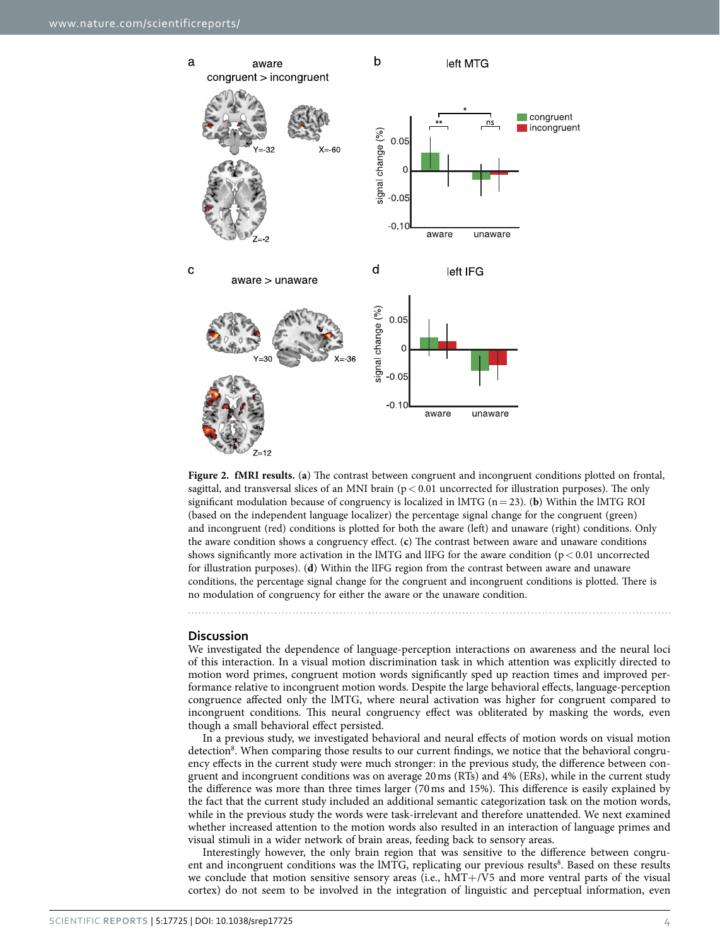

<span id="page-4-0"></span>**Figure 2. fMRI results.** (**a**) The contrast between congruent and incongruent conditions plotted on frontal, sagittal, and transversal slices of an MNI brain ( $p < 0.01$  uncorrected for illustration purposes). The only significant modulation because of congruency is localized in lMTG (n= 23). (**b**) Within the lMTG ROI (based on the independent language localizer) the percentage signal change for the congruent (green) and incongruent (red) conditions is plotted for both the aware (left) and unaware (right) conditions. Only the aware condition shows a congruency effect. (**c**) The contrast between aware and unaware conditions shows significantly more activation in the lMTG and lIFG for the aware condition ( $p < 0.01$  uncorrected for illustration purposes). (**d**) Within the lIFG region from the contrast between aware and unaware conditions, the percentage signal change for the congruent and incongruent conditions is plotted. There is no modulation of congruency for either the aware or the unaware condition.

### **Discussion**

We investigated the dependence of language-perception interactions on awareness and the neural loci of this interaction. In a visual motion discrimination task in which attention was explicitly directed to motion word primes, congruent motion words significantly sped up reaction times and improved performance relative to incongruent motion words. Despite the large behavioral effects, language-perception congruence affected only the lMTG, where neural activation was higher for congruent compared to incongruent conditions. This neural congruency effect was obliterated by masking the words, even though a small behavioral effect persisted.

In a previous study, we investigated behavioral and neural effects of motion words on visual motion detection<sup>8</sup>. When comparing those results to our current findings, we notice that the behavioral congruency effects in the current study were much stronger: in the previous study, the difference between congruent and incongruent conditions was on average 20ms (RTs) and 4% (ERs), while in the current study the difference was more than three times larger (70ms and 15%). This difference is easily explained by the fact that the current study included an additional semantic categorization task on the motion words, while in the previous study the words were task-irrelevant and therefore unattended. We next examined whether increased attention to the motion words also resulted in an interaction of language primes and visual stimuli in a wider network of brain areas, feeding back to sensory areas.

Interestingly however, the only brain region that was sensitive to the difference between congru-ent and incongruent conditions was the IMTG, replicating our previous results<sup>[8](#page-8-5)</sup>. Based on these results we conclude that motion sensitive sensory areas (i.e.,  $\text{hMT+/V5}$  and more ventral parts of the visual cortex) do not seem to be involved in the integration of linguistic and perceptual information, even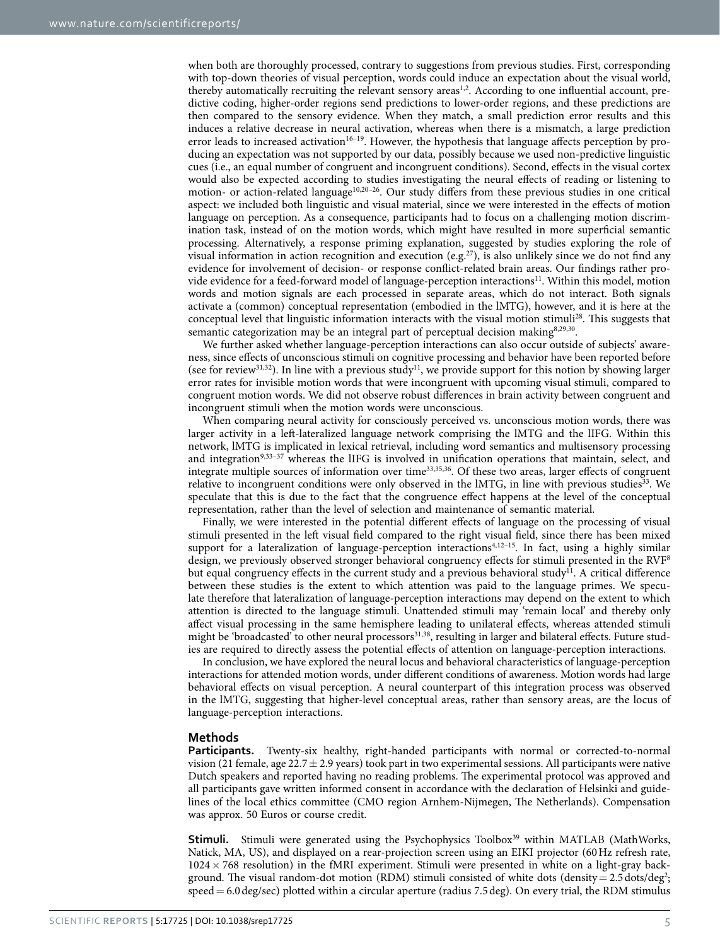when both are thoroughly processed, contrary to suggestions from previous studies. First, corresponding with top-down theories of visual perception, words could induce an expectation about the visual world, thereby automatically recruiting the relevant sensory areas<sup>1,2</sup>. According to one influential account, predictive coding, higher-order regions send predictions to lower-order regions, and these predictions are then compared to the sensory evidence. When they match, a small prediction error results and this induces a relative decrease in neural activation, whereas when there is a mismatch, a large prediction error leads to increased activation<sup>16–19</sup>. However, the hypothesis that language affects perception by producing an expectation was not supported by our data, possibly because we used non-predictive linguistic cues (i.e., an equal number of congruent and incongruent conditions). Second, effects in the visual cortex would also be expected according to studies investigating the neural effects of reading or listening to motion- or action-related language<sup>[10,](#page-8-7)20-26</sup>. Our study differs from these previous studies in one critical aspect: we included both linguistic and visual material, since we were interested in the effects of motion language on perception. As a consequence, participants had to focus on a challenging motion discrimination task, instead of on the motion words, which might have resulted in more superficial semantic processing. Alternatively, a response priming explanation, suggested by studies exploring the role of visual information in action recognition and execution (e.g.<sup>27</sup>), is also unlikely since we do not find any evidence for involvement of decision- or response conflict-related brain areas. Our findings rather provide evidence for a feed-forward model of language-perception interactions<sup>11</sup>. Within this model, motion words and motion signals are each processed in separate areas, which do not interact. Both signals activate a (common) conceptual representation (embodied in the lMTG), however, and it is here at the conceptual level that linguistic information interacts with the visual motion stimuli[28.](#page-8-14) This suggests that semantic categorization may be an integral part of perceptual decision making<sup>8[,29](#page-8-15),30</sup>.

We further asked whether language-perception interactions can also occur outside of subjects' awareness, since effects of unconscious stimuli on cognitive processing and behavior have been reported before (see for review<sup>[31,](#page-8-17)32</sup>). In line with a previous study<sup>11</sup>, we provide support for this notion by showing larger error rates for invisible motion words that were incongruent with upcoming visual stimuli, compared to congruent motion words. We did not observe robust differences in brain activity between congruent and incongruent stimuli when the motion words were unconscious.

When comparing neural activity for consciously perceived vs. unconscious motion words, there was larger activity in a left-lateralized language network comprising the lMTG and the lIFG. Within this network, lMTG is implicated in lexical retrieval, including word semantics and multisensory processing and integration<sup>9,33-37</sup> whereas the lIFG is involved in unification operations that maintain, select, and integrate multiple sources of information over time[33,](#page-8-19)[35](#page-8-20)[,36](#page-8-21). Of these two areas, larger effects of congruent relative to incongruent conditions were only observed in the lMTG, in line with previous studies<sup>33</sup>. We speculate that this is due to the fact that the congruence effect happens at the level of the conceptual representation, rather than the level of selection and maintenance of semantic material.

Finally, we were interested in the potential different effects of language on the processing of visual stimuli presented in the left visual field compared to the right visual field, since there has been mixed support for a lateralization of language-perception interactions<sup>[4](#page-8-22)[,12–15](#page-8-9)</sup>. In fact, using a highly similar design, we previously observed stronger behavioral congruency effects for stimuli presented in the RVF[8](#page-8-5) but equal congruency effects in the current study and a previous behavioral study<sup>11</sup>. A critical difference between these studies is the extent to which attention was paid to the language primes. We speculate therefore that lateralization of language-perception interactions may depend on the extent to which attention is directed to the language stimuli. Unattended stimuli may 'remain local' and thereby only affect visual processing in the same hemisphere leading to unilateral effects, whereas attended stimuli might be 'broadcasted' to other neural processors<sup>[31,](#page-8-17)38</sup>, resulting in larger and bilateral effects. Future studies are required to directly assess the potential effects of attention on language-perception interactions.

In conclusion, we have explored the neural locus and behavioral characteristics of language-perception interactions for attended motion words, under different conditions of awareness. Motion words had large behavioral effects on visual perception. A neural counterpart of this integration process was observed in the lMTG, suggesting that higher-level conceptual areas, rather than sensory areas, are the locus of language-perception interactions.

### **Methods**

**Participants.** Twenty-six healthy, right-handed participants with normal or corrected-to-normal vision (21 female, age  $22.7 \pm 2.9$  years) took part in two experimental sessions. All participants were native Dutch speakers and reported having no reading problems. The experimental protocol was approved and all participants gave written informed consent in accordance with the declaration of Helsinki and guidelines of the local ethics committee (CMO region Arnhem-Nijmegen, The Netherlands). Compensation was approx. 50 Euros or course credit.

**Stimuli.** Stimuli were generated using the Psychophysics Toolbox<sup>39</sup> within MATLAB (MathWorks, Natick, MA, US), and displayed on a rear-projection screen using an EIKI projector (60Hz refresh rate,  $1024 \times 768$  resolution) in the fMRI experiment. Stimuli were presented in white on a light-gray back-ground. The visual random-dot motion (RDM) stimuli consisted of white dots (density = [2](#page-8-1).5 dots/deg<sup>2</sup>; speed= 6.0deg/sec) plotted within a circular aperture (radius 7.5deg). On every trial, the RDM stimulus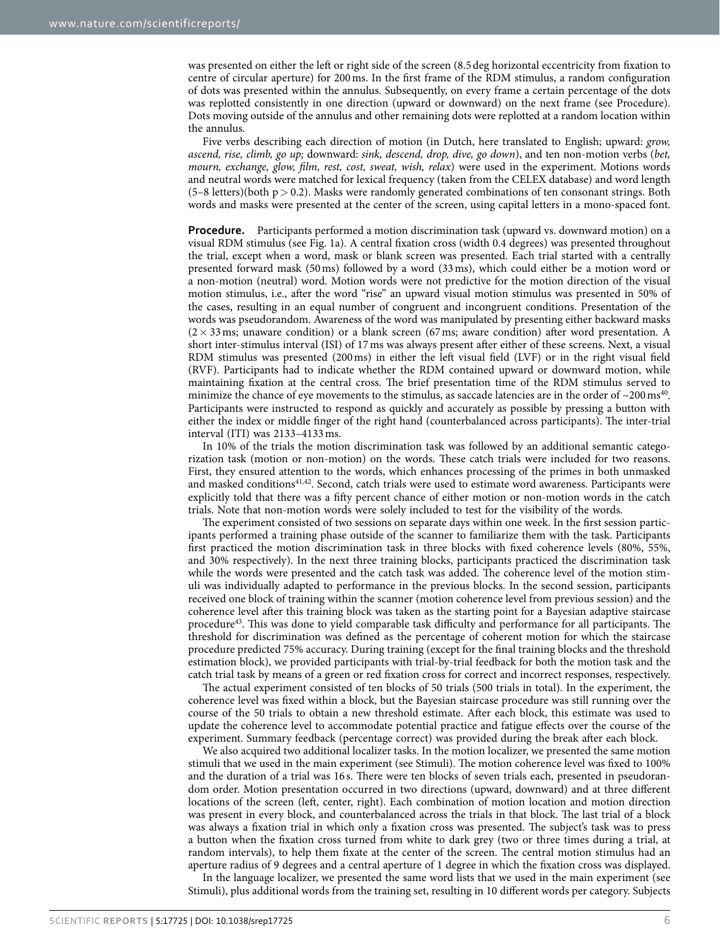was presented on either the left or right side of the screen (8.5deg horizontal eccentricity from fixation to centre of circular aperture) for 200ms. In the first frame of the RDM stimulus, a random configuration of dots was presented within the annulus. Subsequently, on every frame a certain percentage of the dots was replotted consistently in one direction (upward or downward) on the next frame (see Procedure). Dots moving outside of the annulus and other remaining dots were replotted at a random location within the annulus.

Five verbs describing each direction of motion (in Dutch, here translated to English; upward: *grow, ascend, rise, climb, go up;* downward: *sink, descend, drop, dive, go down*), and ten non-motion verbs (*bet, mourn, exchange, glow, film, rest, cost, sweat, wish, relax*) were used in the experiment. Motions words and neutral words were matched for lexical frequency (taken from the CELEX database) and word length  $(5-8$  letters)(both p  $> 0.2$ ). Masks were randomly generated combinations of ten consonant strings. Both words and masks were presented at the center of the screen, using capital letters in a mono-spaced font.

**Procedure.** Participants performed a motion discrimination task (upward vs. downward motion) on a visual RDM stimulus (see [Fig. 1a](#page-2-0)). A central fixation cross (width 0.4 degrees) was presented throughout the trial, except when a word, mask or blank screen was presented. Each trial started with a centrally presented forward mask (50ms) followed by a word (33ms), which could either be a motion word or a non-motion (neutral) word. Motion words were not predictive for the motion direction of the visual motion stimulus, i.e., after the word "rise" an upward visual motion stimulus was presented in 50% of the cases, resulting in an equal number of congruent and incongruent conditions. Presentation of the words was pseudorandom. Awareness of the word was manipulated by presenting either backward masks  $(2 \times 33 \text{ ms};$  unaware condition) or a blank screen (67ms; aware condition) after word presentation. A short inter-stimulus interval (ISI) of 17ms was always present after either of these screens. Next, a visual RDM stimulus was presented (200ms) in either the left visual field (LVF) or in the right visual field (RVF). Participants had to indicate whether the RDM contained upward or downward motion, while maintaining fixation at the central cross. The brief presentation time of the RDM stimulus served to minimize the chance of eye movements to the stimulus, as saccade latencies are in the order of  $\sim$ 200 ms<sup>[40](#page-9-2)</sup>. Participants were instructed to respond as quickly and accurately as possible by pressing a button with either the index or middle finger of the right hand (counterbalanced across participants). The inter-trial interval (ITI) was 2133–4133ms.

In 10% of the trials the motion discrimination task was followed by an additional semantic categorization task (motion or non-motion) on the words. These catch trials were included for two reasons. First, they ensured attention to the words, which enhances processing of the primes in both unmasked and masked conditions<sup>41,42</sup>. Second, catch trials were used to estimate word awareness. Participants were explicitly told that there was a fifty percent chance of either motion or non-motion words in the catch trials. Note that non-motion words were solely included to test for the visibility of the words.

The experiment consisted of two sessions on separate days within one week. In the first session participants performed a training phase outside of the scanner to familiarize them with the task. Participants first practiced the motion discrimination task in three blocks with fixed coherence levels (80%, 55%, and 30% respectively). In the next three training blocks, participants practiced the discrimination task while the words were presented and the catch task was added. The coherence level of the motion stimuli was individually adapted to performance in the previous blocks. In the second session, participants received one block of training within the scanner (motion coherence level from previous session) and the coherence level after this training block was taken as the starting point for a Bayesian adaptive staircase procedur[e43](#page-9-5). This was done to yield comparable task difficulty and performance for all participants. The threshold for discrimination was defined as the percentage of coherent motion for which the staircase procedure predicted 75% accuracy. During training (except for the final training blocks and the threshold estimation block), we provided participants with trial-by-trial feedback for both the motion task and the catch trial task by means of a green or red fixation cross for correct and incorrect responses, respectively.

The actual experiment consisted of ten blocks of 50 trials (500 trials in total). In the experiment, the coherence level was fixed within a block, but the Bayesian staircase procedure was still running over the course of the 50 trials to obtain a new threshold estimate. After each block, this estimate was used to update the coherence level to accommodate potential practice and fatigue effects over the course of the experiment. Summary feedback (percentage correct) was provided during the break after each block.

We also acquired two additional localizer tasks. In the motion localizer, we presented the same motion stimuli that we used in the main experiment (see Stimuli). The motion coherence level was fixed to 100% and the duration of a trial was 16 s. There were ten blocks of seven trials each, presented in pseudorandom order. Motion presentation occurred in two directions (upward, downward) and at three different locations of the screen (left, center, right). Each combination of motion location and motion direction was present in every block, and counterbalanced across the trials in that block. The last trial of a block was always a fixation trial in which only a fixation cross was presented. The subject's task was to press a button when the fixation cross turned from white to dark grey (two or three times during a trial, at random intervals), to help them fixate at the center of the screen. The central motion stimulus had an aperture radius of 9 degrees and a central aperture of 1 degree in which the fixation cross was displayed.

In the language localizer, we presented the same word lists that we used in the main experiment (see Stimuli), plus additional words from the training set, resulting in 10 different words per category. Subjects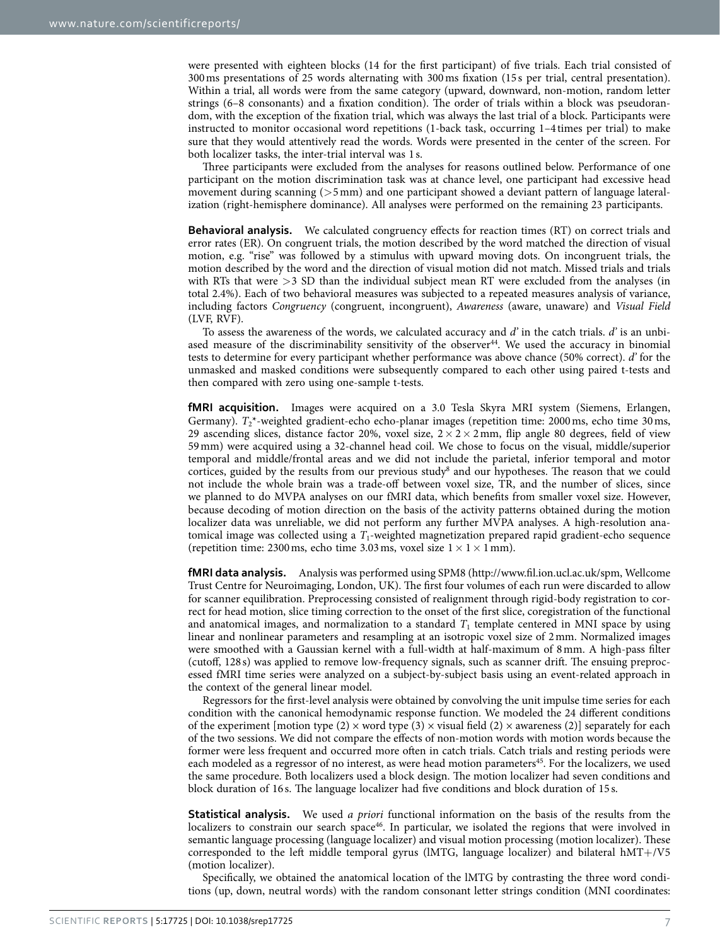were presented with eighteen blocks (14 for the first participant) of five trials. Each trial consisted of 300ms presentations of 25 words alternating with 300ms fixation (15 s per trial, central presentation). Within a trial, all words were from the same category (upward, downward, non-motion, random letter strings (6–8 consonants) and a fixation condition). The order of trials within a block was pseudorandom, with the exception of the fixation trial, which was always the last trial of a block. Participants were instructed to monitor occasional word repetitions (1-back task, occurring 1–4 times per trial) to make sure that they would attentively read the words. Words were presented in the center of the screen. For both localizer tasks, the inter-trial interval was 1 s.

Three participants were excluded from the analyses for reasons outlined below. Performance of one participant on the motion discrimination task was at chance level, one participant had excessive head movement during scanning  $(55 \text{mm})$  and one participant showed a deviant pattern of language lateralization (right-hemisphere dominance). All analyses were performed on the remaining 23 participants.

**Behavioral analysis.** We calculated congruency effects for reaction times (RT) on correct trials and error rates (ER). On congruent trials, the motion described by the word matched the direction of visual motion, e.g. "rise" was followed by a stimulus with upward moving dots. On incongruent trials, the motion described by the word and the direction of visual motion did not match. Missed trials and trials with RTs that were >3 SD than the individual subject mean RT were excluded from the analyses (in total 2.4%). Each of two behavioral measures was subjected to a repeated measures analysis of variance, including factors *Congruency* (congruent, incongruent), *Awareness* (aware, unaware) and *Visual Field* (LVF, RVF).

To assess the awareness of the words, we calculated accuracy and *d'* in the catch trials. *d'* is an unbiased measure of the discriminability sensitivity of the observer<sup>44</sup>. We used the accuracy in binomial tests to determine for every participant whether performance was above chance (50% correct). *d'* for the unmasked and masked conditions were subsequently compared to each other using paired t-tests and then compared with zero using one-sample t-tests.

**fMRI acquisition.** Images were acquired on a 3.0 Tesla Skyra MRI system (Siemens, Erlangen, Germany).  $T^*$ -weighted gradient-echo echo-planar images (repetition time: 2000 ms, echo time 30 ms, 29 ascending slices, distance factor 20%, voxel size,  $2 \times 2 \times 2$  mm, flip angle 80 degrees, field of view 59mm) were acquired using a 32-channel head coil. We chose to focus on the visual, middle/superior temporal and middle/frontal areas and we did not include the parietal, inferior temporal and motor cortices, guided by the results from our previous study<sup>8</sup> and our hypotheses. The reason that we could not include the whole brain was a trade-off between voxel size, TR, and the number of slices, since we planned to do MVPA analyses on our fMRI data, which benefits from smaller voxel size. However, because decoding of motion direction on the basis of the activity patterns obtained during the motion localizer data was unreliable, we did not perform any further MVPA analyses. A high-resolution anatomical image was collected using a *T*1-weighted magnetization prepared rapid gradient-echo sequence (repetition time: 2300 ms, echo time 3.03 ms, voxel size  $1 \times 1 \times 1$  mm).

**fMRI data analysis.** Analysis was performed using SPM8 [\(http://www.fil.ion.ucl.ac.uk/spm,](http://www.fil.ion.ucl.ac.uk/spm) Wellcome Trust Centre for Neuroimaging, London, UK). The first four volumes of each run were discarded to allow for scanner equilibration. Preprocessing consisted of realignment through rigid-body registration to correct for head motion, slice timing correction to the onset of the first slice, coregistration of the functional and anatomical images, and normalization to a standard  $T_1$  template centered in MNI space by using linear and nonlinear parameters and resampling at an isotropic voxel size of 2mm. Normalized images were smoothed with a Gaussian kernel with a full-width at half-maximum of 8mm. A high-pass filter (cutoff, 128 s) was applied to remove low-frequency signals, such as scanner drift. The ensuing preprocessed fMRI time series were analyzed on a subject-by-subject basis using an event-related approach in the context of the general linear model.

Regressors for the first-level analysis were obtained by convolving the unit impulse time series for each condition with the canonical hemodynamic response function. We modeled the 24 different conditions of the experiment [motion type (2)  $\times$  word type (3)  $\times$  visual field (2)  $\times$  awareness (2)] separately for each of the two sessions. We did not compare the effects of non-motion words with motion words because the former were less frequent and occurred more often in catch trials. Catch trials and resting periods were each modeled as a regressor of no interest, as were head motion parameters<sup>[45](#page-9-7)</sup>. For the localizers, we used the same procedure. Both localizers used a block design. The motion localizer had seven conditions and block duration of 16 s. The language localizer had five conditions and block duration of 15 s.

**Statistical analysis.** We used *a priori* functional information on the basis of the results from the localizers to constrain our search space<sup>46</sup>. In particular, we isolated the regions that were involved in semantic language processing (language localizer) and visual motion processing (motion localizer). These corresponded to the left middle temporal gyrus (lMTG, language localizer) and bilateral hMT+/V5 (motion localizer).

Specifically, we obtained the anatomical location of the lMTG by contrasting the three word conditions (up, down, neutral words) with the random consonant letter strings condition (MNI coordinates: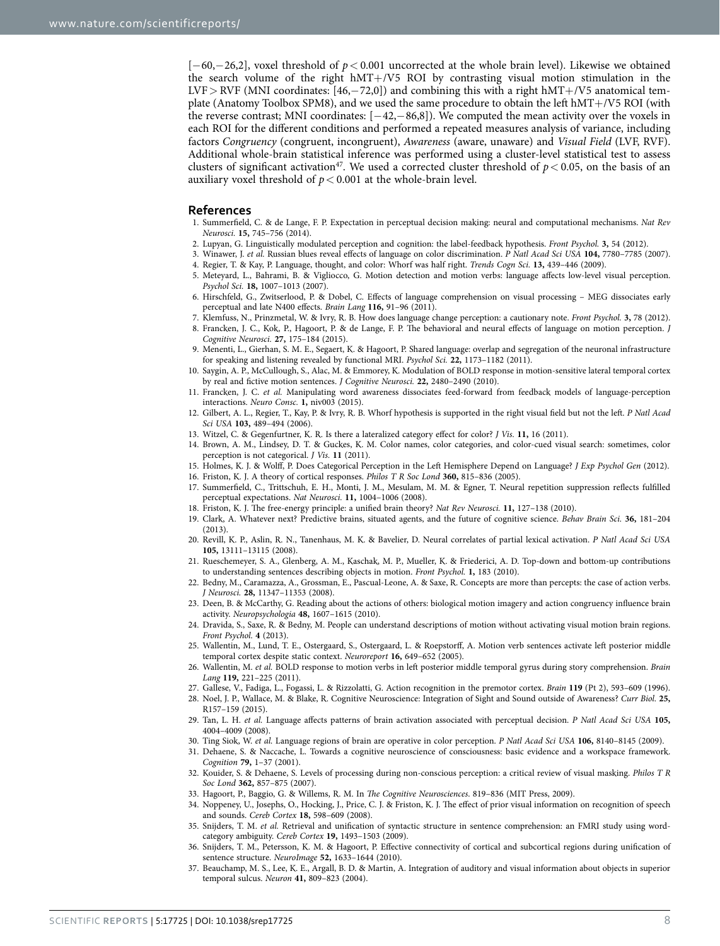[−60,−26,2], voxel threshold of *p*< 0.001 uncorrected at the whole brain level). Likewise we obtained the search volume of the right hMT+/V5 ROI by contrasting visual motion stimulation in the LVF > RVF (MNI coordinates: [46, $-72,0$ ]) and combining this with a right hMT+/V5 anatomical template (Anatomy Toolbox SPM8), and we used the same procedure to obtain the left hMT+/V5 ROI (with the reverse contrast; MNI coordinates: [−42,−86,8]). We computed the mean activity over the voxels in each ROI for the different conditions and performed a repeated measures analysis of variance, including factors *Congruency* (congruent, incongruent), *Awareness* (aware, unaware) and *Visual Field* (LVF, RVF). Additional whole-brain statistical inference was performed using a cluster-level statistical test to assess clusters of significant activation<sup>47</sup>. We used a corrected cluster threshold of  $p < 0.05$ , on the basis of an auxiliary voxel threshold of *p*< 0.001 at the whole-brain level.

### **References**

- <span id="page-8-0"></span>1. Summerfield, C. & de Lange, F. P. Expectation in perceptual decision making: neural and computational mechanisms. *Nat Rev Neurosci.* **15,** 745–756 (2014).
- <span id="page-8-1"></span>2. Lupyan, G. Linguistically modulated perception and cognition: the label-feedback hypothesis. *Front Psychol.* **3,** 54 (2012).
- 3. Winawer, J. *et al.* Russian blues reveal effects of language on color discrimination. *P Natl Acad Sci USA* **104,** 7780–7785 (2007). 4. Regier, T. & Kay, P. Language, thought, and color: Whorf was half right. *Trends Cogn Sci.* **13,** 439–446 (2009).
- <span id="page-8-22"></span><span id="page-8-2"></span>5. Meteyard, L., Bahrami, B. & Vigliocco, G. Motion detection and motion verbs: language affects low-level visual perception. *Psychol Sci.* **18,** 1007–1013 (2007).
- <span id="page-8-3"></span>6. Hirschfeld, G., Zwitserlood, P. & Dobel, C. Effects of language comprehension on visual processing – MEG dissociates early perceptual and late N400 effects. *Brain Lang* **116,** 91–96 (2011).
- <span id="page-8-5"></span><span id="page-8-4"></span>7. Klemfuss, N., Prinzmetal, W. & Ivry, R. B. How does language change perception: a cautionary note. *Front Psychol.* **3,** 78 (2012). 8. Francken, J. C., Kok, P., Hagoort, P. & de Lange, F. P. The behavioral and neural effects of language on motion perception. *J*
- *Cognitive Neurosci.* **27,** 175–184 (2015).
- <span id="page-8-6"></span>9. Menenti, L., Gierhan, S. M. E., Segaert, K. & Hagoort, P. Shared language: overlap and segregation of the neuronal infrastructure for speaking and listening revealed by functional MRI. *Psychol Sci.* **22,** 1173–1182 (2011).
- <span id="page-8-7"></span>10. Saygin, A. P., McCullough, S., Alac, M. & Emmorey, K. Modulation of BOLD response in motion-sensitive lateral temporal cortex by real and fictive motion sentences. *J Cognitive Neurosci.* **22,** 2480–2490 (2010).
- <span id="page-8-8"></span>11. Francken, J. C. *et al.* Manipulating word awareness dissociates feed-forward from feedback models of language-perception interactions. *Neuro Consc.* **1,** niv003 (2015).
- <span id="page-8-9"></span>12. Gilbert, A. L., Regier, T., Kay, P. & Ivry, R. B. Whorf hypothesis is supported in the right visual field but not the left. *P Natl Acad Sci USA* **103,** 489–494 (2006).
- <span id="page-8-10"></span>13. Witzel, C. & Gegenfurtner, K. R. Is there a lateralized category effect for color? *J Vis.* **11,** 16 (2011).
- 14. Brown, A. M., Lindsey, D. T. & Guckes, K. M. Color names, color categories, and color-cued visual search: sometimes, color perception is not categorical. *J Vis.* **11** (2011).
- <span id="page-8-11"></span>15. Holmes, K. J. & Wolff, P. Does Categorical Perception in the Left Hemisphere Depend on Language? *J Exp Psychol Gen* (2012). 16. Friston, K. J. A theory of cortical responses. *Philos T R Soc Lond* **360,** 815–836 (2005).
- 17. Summerfield, C., Trittschuh, E. H., Monti, J. M., Mesulam, M. M. & Egner, T. Neural repetition suppression reflects fulfilled perceptual expectations. *Nat Neurosci.* **11,** 1004–1006 (2008).
- 18. Friston, K. J. The free-energy principle: a unified brain theory? *Nat Rev Neurosci.* **11,** 127–138 (2010).
- 19. Clark, A. Whatever next? Predictive brains, situated agents, and the future of cognitive science. *Behav Brain Sci.* **36,** 181–204 (2013).
- <span id="page-8-12"></span>20. Revill, K. P., Aslin, R. N., Tanenhaus, M. K. & Bavelier, D. Neural correlates of partial lexical activation. *P Natl Acad Sci USA* **105,** 13111–13115 (2008).
- 21. Rueschemeyer, S. A., Glenberg, A. M., Kaschak, M. P., Mueller, K. & Friederici, A. D. Top-down and bottom-up contributions to understanding sentences describing objects in motion. *Front Psychol.* **1,** 183 (2010).
- 22. Bedny, M., Caramazza, A., Grossman, E., Pascual-Leone, A. & Saxe, R. Concepts are more than percepts: the case of action verbs. *J Neurosci.* **28,** 11347–11353 (2008).
- 23. Deen, B. & McCarthy, G. Reading about the actions of others: biological motion imagery and action congruency influence brain activity. *Neuropsychologia* **48,** 1607–1615 (2010).
- 24. Dravida, S., Saxe, R. & Bedny, M. People can understand descriptions of motion without activating visual motion brain regions. *Front Psychol.* **4** (2013).
- 25. Wallentin, M., Lund, T. E., Ostergaard, S., Ostergaard, L. & Roepstorff, A. Motion verb sentences activate left posterior middle temporal cortex despite static context. *Neuroreport* **16,** 649–652 (2005).
- 26. Wallentin, M. *et al.* BOLD response to motion verbs in left posterior middle temporal gyrus during story comprehension. *Brain Lang* **119,** 221–225 (2011).
- <span id="page-8-13"></span>27. Gallese, V., Fadiga, L., Fogassi, L. & Rizzolatti, G. Action recognition in the premotor cortex. *Brain* **119** (Pt 2), 593–609 (1996).
- <span id="page-8-14"></span>28. Noel, J. P., Wallace, M. & Blake, R. Cognitive Neuroscience: Integration of Sight and Sound outside of Awareness? *Curr Biol.* **25,** R157–159 (2015).
- <span id="page-8-15"></span>29. Tan, L. H. *et al.* Language affects patterns of brain activation associated with perceptual decision. *P Natl Acad Sci USA* **105,** 4004–4009 (2008).
- <span id="page-8-16"></span>30. Ting Siok, W. *et al.* Language regions of brain are operative in color perception. *P Natl Acad Sci USA* **106,** 8140–8145 (2009).
- <span id="page-8-17"></span>31. Dehaene, S. & Naccache, L. Towards a cognitive neuroscience of consciousness: basic evidence and a workspace framework. *Cognition* **79,** 1–37 (2001).
- <span id="page-8-18"></span>32. Kouider, S. & Dehaene, S. Levels of processing during non-conscious perception: a critical review of visual masking. *Philos T R Soc Lond* **362,** 857–875 (2007).
- <span id="page-8-19"></span>33. Hagoort, P., Baggio, G. & Willems, R. M. In *The Cognitive Neurosciences*. 819–836 (MIT Press, 2009).
- 34. Noppeney, U., Josephs, O., Hocking, J., Price, C. J. & Friston, K. J. The effect of prior visual information on recognition of speech and sounds. *Cereb Cortex* **18,** 598–609 (2008).
- <span id="page-8-20"></span>35. Snijders, T. M. *et al.* Retrieval and unification of syntactic structure in sentence comprehension: an FMRI study using wordcategory ambiguity. *Cereb Cortex* **19,** 1493–1503 (2009).
- <span id="page-8-21"></span>36. Snijders, T. M., Petersson, K. M. & Hagoort, P. Effective connectivity of cortical and subcortical regions during unification of sentence structure. *NeuroImage* **52,** 1633–1644 (2010).
- 37. Beauchamp, M. S., Lee, K. E., Argall, B. D. & Martin, A. Integration of auditory and visual information about objects in superior temporal sulcus. *Neuron* **41,** 809–823 (2004).